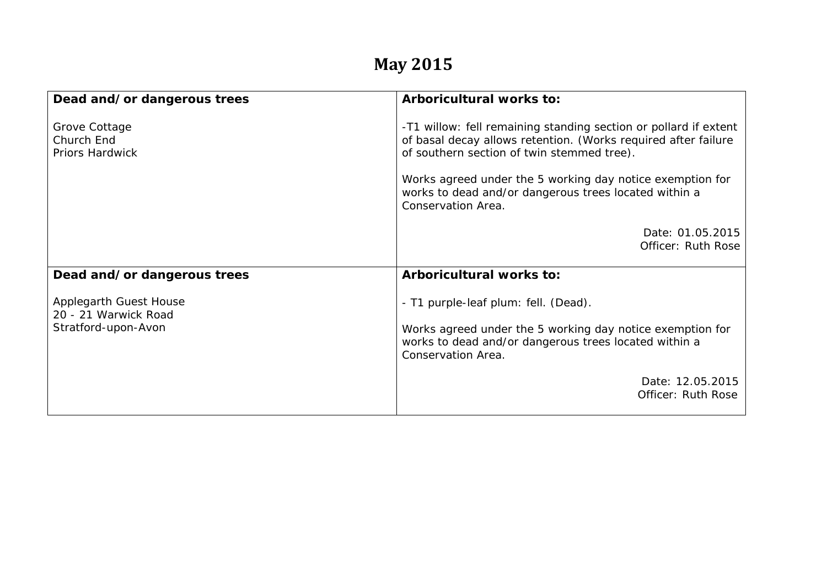## **May 2015**

| Dead and/or dangerous trees                    | Arboricultural works to:                                                                                                                                                         |
|------------------------------------------------|----------------------------------------------------------------------------------------------------------------------------------------------------------------------------------|
| Grove Cottage<br>Church End<br>Priors Hardwick | -T1 willow: fell remaining standing section or pollard if extent<br>of basal decay allows retention. (Works required after failure<br>of southern section of twin stemmed tree). |
|                                                | Works agreed under the 5 working day notice exemption for<br>works to dead and/or dangerous trees located within a<br>Conservation Area.                                         |
|                                                | Date: 01.05.2015<br>Officer: Ruth Rose                                                                                                                                           |
| Dead and/or dangerous trees                    | Arboricultural works to:                                                                                                                                                         |
| Applegarth Guest House<br>20 - 21 Warwick Road | - T1 purple-leaf plum: fell. (Dead).                                                                                                                                             |
| Stratford-upon-Avon                            | Works agreed under the 5 working day notice exemption for<br>works to dead and/or dangerous trees located within a<br>Conservation Area.                                         |
|                                                | Date: 12.05.2015<br>Officer: Ruth Rose                                                                                                                                           |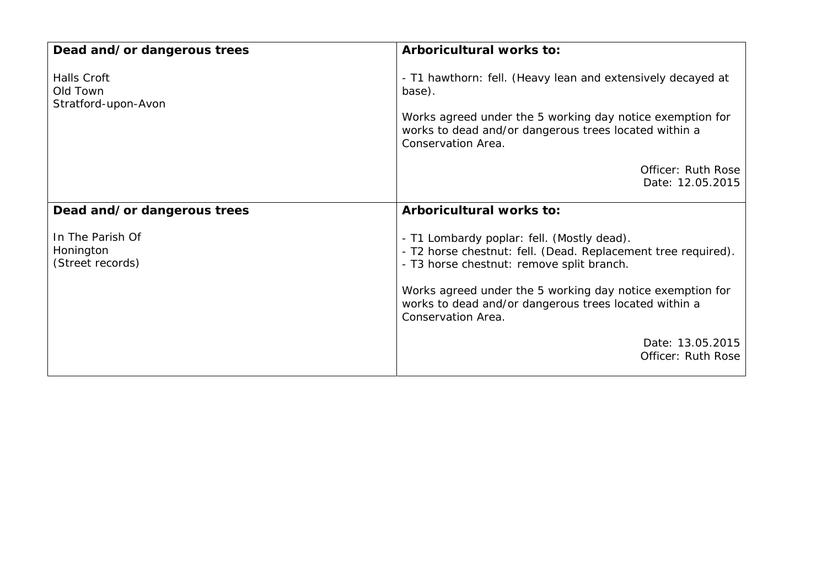| Dead and/or dangerous trees                       | Arboricultural works to:                                                                                                                                                                                                                                                                             |
|---------------------------------------------------|------------------------------------------------------------------------------------------------------------------------------------------------------------------------------------------------------------------------------------------------------------------------------------------------------|
| Halls Croft<br>Old Town<br>Stratford-upon-Avon    | - T1 hawthorn: fell. (Heavy lean and extensively decayed at<br>base).<br>Works agreed under the 5 working day notice exemption for<br>works to dead and/or dangerous trees located within a<br>Conservation Area.                                                                                    |
|                                                   | Officer: Ruth Rose<br>Date: 12.05.2015                                                                                                                                                                                                                                                               |
| Dead and/or dangerous trees                       | Arboricultural works to:                                                                                                                                                                                                                                                                             |
| In The Parish Of<br>Honington<br>(Street records) | - T1 Lombardy poplar: fell. (Mostly dead).<br>- T2 horse chestnut: fell. (Dead. Replacement tree required).<br>- T3 horse chestnut: remove split branch.<br>Works agreed under the 5 working day notice exemption for<br>works to dead and/or dangerous trees located within a<br>Conservation Area. |
|                                                   | Date: 13.05.2015<br>Officer: Ruth Rose                                                                                                                                                                                                                                                               |